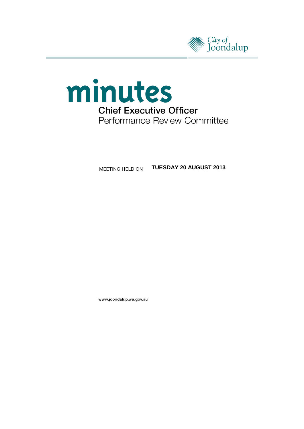



**MEETING HELD ON TUESDAY 20 AUGUST 2013** 

www.joondalup.wa.gov.au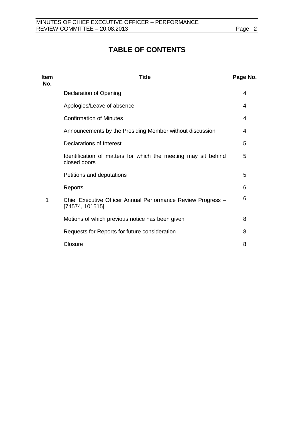# **TABLE OF CONTENTS**

| <b>Item</b><br>No. | <b>Title</b>                                                                    | Page No. |
|--------------------|---------------------------------------------------------------------------------|----------|
|                    | <b>Declaration of Opening</b>                                                   | 4        |
|                    | Apologies/Leave of absence                                                      | 4        |
|                    | <b>Confirmation of Minutes</b>                                                  | 4        |
|                    | Announcements by the Presiding Member without discussion                        | 4        |
|                    | Declarations of Interest                                                        | 5        |
|                    | Identification of matters for which the meeting may sit behind<br>closed doors  | 5        |
|                    | Petitions and deputations                                                       | 5        |
|                    | Reports                                                                         | 6        |
| 1                  | Chief Executive Officer Annual Performance Review Progress -<br>[74574, 101515] | 6        |
|                    | Motions of which previous notice has been given                                 | 8        |
|                    | Requests for Reports for future consideration                                   | 8        |
|                    | Closure                                                                         | 8        |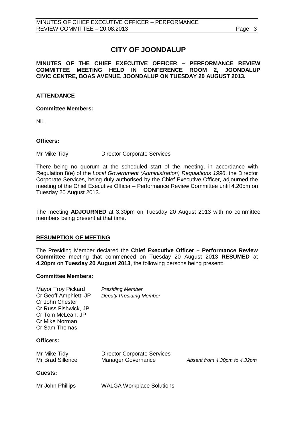# **CITY OF JOONDALUP**

**MINUTES OF THE CHIEF EXECUTIVE OFFICER – PERFORMANCE REVIEW COMMITTEE MEETING HELD IN CONFERENCE ROOM 2, JOONDALUP CIVIC CENTRE, BOAS AVENUE, JOONDALUP ON TUESDAY 20 AUGUST 2013.**

#### **ATTENDANCE**

#### **Committee Members:**

Nil.

#### **Officers:**

Mr Mike Tidy **Director Corporate Services** 

There being no quorum at the scheduled start of the meeting, in accordance with Regulation 8(e) of the *Local Government (Administration) Regulations 1996*, the Director Corporate Services, being duly authorised by the Chief Executive Officer, adjourned the meeting of the Chief Executive Officer – Performance Review Committee until 4.20pm on Tuesday 20 August 2013.

The meeting **ADJOURNED** at 3.30pm on Tuesday 20 August 2013 with no committee members being present at that time.

#### **RESUMPTION OF MEETING**

The Presiding Member declared the **Chief Executive Officer – Performance Review Committee** meeting that commenced on Tuesday 20 August 2013 **RESUMED** at **4.20pm** on **Tuesday 20 August 2013**, the following persons being present:

#### **Committee Members:**

| Mayor Troy Pickard    | <b>Presiding Member</b>        |
|-----------------------|--------------------------------|
| Cr Geoff Amphlett, JP | <b>Deputy Presiding Member</b> |
| Cr John Chester       |                                |
| Cr Russ Fishwick, JP  |                                |
| Cr Tom McLean, JP     |                                |
| Cr Mike Norman        |                                |
| Cr Sam Thomas         |                                |

#### **Officers:**

| Mr Mike Tidy     | <b>Director Corporate Services</b> |                              |
|------------------|------------------------------------|------------------------------|
| Mr Brad Sillence | Manager Governance                 | Absent from 4.30pm to 4.32pm |

#### **Guests:**

Mr John Phillips WALGA Workplace Solutions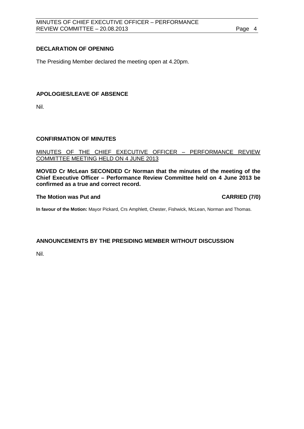### <span id="page-3-0"></span>**DECLARATION OF OPENING**

The Presiding Member declared the meeting open at 4.20pm.

#### <span id="page-3-1"></span>**APOLOGIES/LEAVE OF ABSENCE**

Nil.

#### <span id="page-3-2"></span>**CONFIRMATION OF MINUTES**

MINUTES OF THE CHIEF EXECUTIVE OFFICER – PERFORMANCE REVIEW COMMITTEE MEETING HELD ON 4 JUNE 2013

**MOVED Cr McLean SECONDED Cr Norman that the minutes of the meeting of the Chief Executive Officer – Performance Review Committee held on 4 June 2013 be confirmed as a true and correct record.**

#### **The Motion was Put and CARRIED (7/0)**

**In favour of the Motion:** Mayor Pickard, Crs Amphlett, Chester, Fishwick, McLean, Norman and Thomas.

# <span id="page-3-3"></span>**ANNOUNCEMENTS BY THE PRESIDING MEMBER WITHOUT DISCUSSION**

Nil.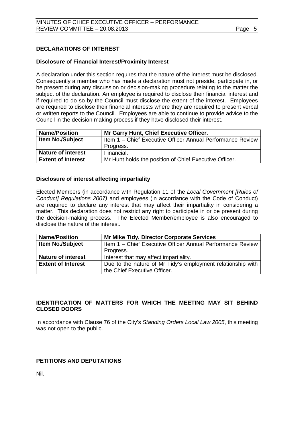# <span id="page-4-0"></span>**DECLARATIONS OF INTEREST**

#### **Disclosure of Financial Interest/Proximity Interest**

A declaration under this section requires that the nature of the interest must be disclosed. Consequently a member who has made a declaration must not preside, participate in, or be present during any discussion or decision-making procedure relating to the matter the subject of the declaration. An employee is required to disclose their financial interest and if required to do so by the Council must disclose the extent of the interest. Employees are required to disclose their financial interests where they are required to present verbal or written reports to the Council. Employees are able to continue to provide advice to the Council in the decision making process if they have disclosed their interest.

| <b>Name/Position</b>      | Mr Garry Hunt, Chief Executive Officer.                    |
|---------------------------|------------------------------------------------------------|
| <b>Item No./Subject</b>   | Item 1 – Chief Executive Officer Annual Performance Review |
|                           | Progress.                                                  |
| <b>Nature of interest</b> | Financial.                                                 |
| <b>Extent of Interest</b> | Mr Hunt holds the position of Chief Executive Officer.     |

#### **Disclosure of interest affecting impartiality**

Elected Members (in accordance with Regulation 11 of the *Local Government [Rules of Conduct] Regulations 2007)* and employees (in accordance with the Code of Conduct) are required to declare any interest that may affect their impartiality in considering a matter. This declaration does not restrict any right to participate in or be present during the decision-making process. The Elected Member/employee is also encouraged to disclose the nature of the interest.

| <b>Name/Position</b>      | <b>Mr Mike Tidy, Director Corporate Services</b>            |
|---------------------------|-------------------------------------------------------------|
| <b>Item No./Subject</b>   | Item 1 - Chief Executive Officer Annual Performance Review  |
|                           | Progress.                                                   |
| <b>Nature of interest</b> | Interest that may affect impartiality.                      |
| <b>Extent of Interest</b> | Due to the nature of Mr Tidy's employment relationship with |
|                           | the Chief Executive Officer.                                |

# <span id="page-4-1"></span>**IDENTIFICATION OF MATTERS FOR WHICH THE MEETING MAY SIT BEHIND CLOSED DOORS**

In accordance with Clause 76 of the City's *Standing Orders Local Law 2005*, this meeting was not open to the public.

# <span id="page-4-2"></span>**PETITIONS AND DEPUTATIONS**

Nil.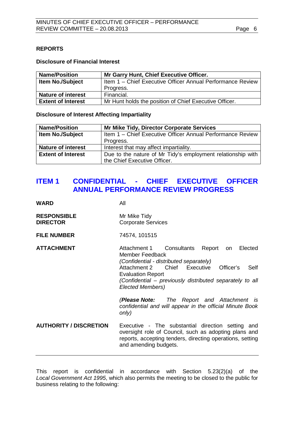#### <span id="page-5-0"></span>**REPORTS**

### **Disclosure of Financial Interest**

| <b>Name/Position</b>      | Mr Garry Hunt, Chief Executive Officer.                    |
|---------------------------|------------------------------------------------------------|
| <b>Item No./Subject</b>   | Item 1 – Chief Executive Officer Annual Performance Review |
|                           | Progress.                                                  |
| <b>Nature of interest</b> | Financial.                                                 |
| <b>Extent of Interest</b> | Mr Hunt holds the position of Chief Executive Officer.     |

#### **Disclosure of Interest Affecting Impartiality**

| <b>Name/Position</b>      | <b>Mr Mike Tidy, Director Corporate Services</b>            |
|---------------------------|-------------------------------------------------------------|
| <b>Item No./Subject</b>   | Item 1 - Chief Executive Officer Annual Performance Review  |
|                           | Progress.                                                   |
| <b>Nature of interest</b> | Interest that may affect impartiality.                      |
| <b>Extent of Interest</b> | Due to the nature of Mr Tidy's employment relationship with |
|                           | the Chief Executive Officer.                                |

# <span id="page-5-1"></span>**ITEM 1 CONFIDENTIAL - CHIEF EXECUTIVE OFFICER ANNUAL PERFORMANCE REVIEW PROGRESS**

# **WARD** All

| <b>RESPONSIBLE</b><br><b>DIRECTOR</b> | Mr Mike Tidy<br><b>Corporate Services</b>                                                                                                                                                                                                                                          |
|---------------------------------------|------------------------------------------------------------------------------------------------------------------------------------------------------------------------------------------------------------------------------------------------------------------------------------|
| <b>FILE NUMBER</b>                    | 74574, 101515                                                                                                                                                                                                                                                                      |
| <b>ATTACHMENT</b>                     | Attachment 1 Consultants<br>Report<br>Elected<br>on<br>Member Feedback<br>(Confidential - distributed separately)<br>Attachment 2 Chief Executive<br>Self<br>Officer's<br><b>Evaluation Report</b><br>(Confidential – previously distributed separately to all<br>Elected Members) |
|                                       | ( <b>Please Note:</b> The Report and Attachment is<br>confidential and will appear in the official Minute Book<br>only)                                                                                                                                                            |
| <b>AUTHORITY / DISCRETION</b>         | Executive - The substantial direction setting and<br>oversight role of Council, such as adopting plans and<br>reports, accepting tenders, directing operations, setting<br>and amending budgets.                                                                                   |

This report is confidential in accordance with Section 5.23(2)(a) of the *Local Government Act 1995*, which also permits the meeting to be closed to the public for business relating to the following: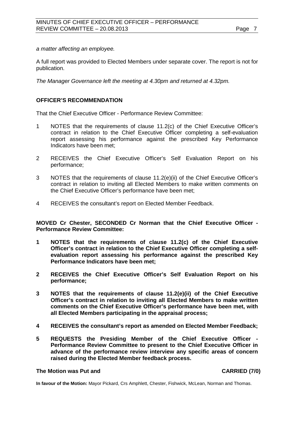*a matter affecting an employee.*

A full report was provided to Elected Members under separate cover. The report is not for publication.

*The Manager Governance left the meeting at 4.30pm and returned at 4.32pm.*

#### **OFFICER'S RECOMMENDATION**

That the Chief Executive Officer - Performance Review Committee:

- 1 NOTES that the requirements of clause 11.2(c) of the Chief Executive Officer's contract in relation to the Chief Executive Officer completing a self-evaluation report assessing his performance against the prescribed Key Performance Indicators have been met;
- 2 RECEIVES the Chief Executive Officer's Self Evaluation Report on his performance;
- 3 NOTES that the requirements of clause 11.2(e)(ii) of the Chief Executive Officer's contract in relation to inviting all Elected Members to make written comments on the Chief Executive Officer's performance have been met;
- 4 RECEIVES the consultant's report on Elected Member Feedback.

**MOVED Cr Chester, SECONDED Cr Norman that the Chief Executive Officer - Performance Review Committee:**

- **1 NOTES that the requirements of clause 11.2(c) of the Chief Executive Officer's contract in relation to the Chief Executive Officer completing a selfevaluation report assessing his performance against the prescribed Key Performance Indicators have been met;**
- **2 RECEIVES the Chief Executive Officer's Self Evaluation Report on his performance;**
- **3 NOTES that the requirements of clause 11.2(e)(ii) of the Chief Executive Officer's contract in relation to inviting all Elected Members to make written comments on the Chief Executive Officer's performance have been met, with all Elected Members participating in the appraisal process;**
- **4 RECEIVES the consultant's report as amended on Elected Member Feedback;**
- **5 REQUESTS the Presiding Member of the Chief Executive Officer - Performance Review Committee to present to the Chief Executive Officer in advance of the performance review interview any specific areas of concern raised during the Elected Member feedback process.**

#### **The Motion was Put and CARRIED (7/0)**

**In favour of the Motion:** Mayor Pickard, Crs Amphlett, Chester, Fishwick, McLean, Norman and Thomas.